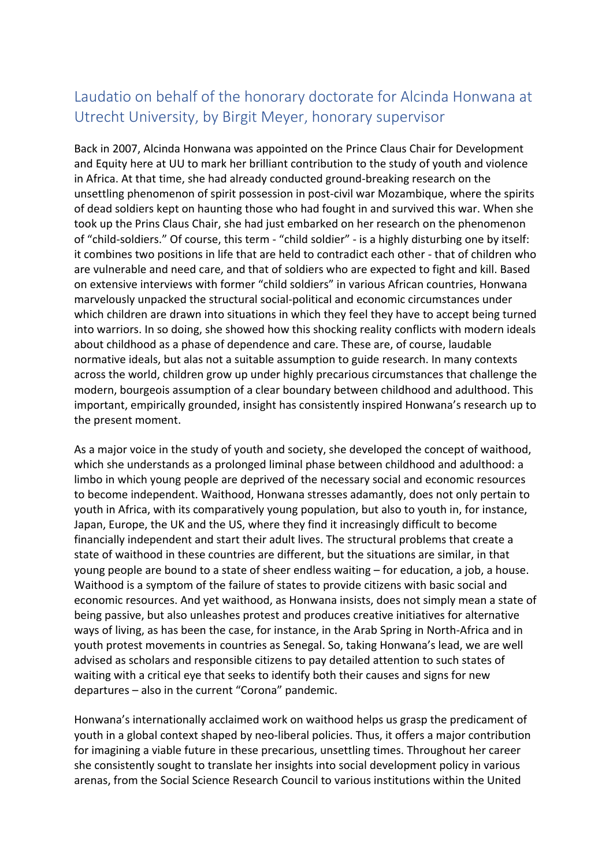## Laudatio on behalf of the honorary doctorate for Alcinda Honwana at Utrecht University, by Birgit Meyer, honorary supervisor

Back in 2007, Alcinda Honwana was appointed on the Prince Claus Chair for Development and Equity here at UU to mark her brilliant contribution to the study of youth and violence in Africa. At that time, she had already conducted ground-breaking research on the unsettling phenomenon of spirit possession in post-civil war Mozambique, where the spirits of dead soldiers kept on haunting those who had fought in and survived this war. When she took up the Prins Claus Chair, she had just embarked on her research on the phenomenon of "child-soldiers." Of course, this term - "child soldier" - is a highly disturbing one by itself: it combines two positions in life that are held to contradict each other - that of children who are vulnerable and need care, and that of soldiers who are expected to fight and kill. Based on extensive interviews with former "child soldiers" in various African countries, Honwana marvelously unpacked the structural social-political and economic circumstances under which children are drawn into situations in which they feel they have to accept being turned into warriors. In so doing, she showed how this shocking reality conflicts with modern ideals about childhood as a phase of dependence and care. These are, of course, laudable normative ideals, but alas not a suitable assumption to guide research. In many contexts across the world, children grow up under highly precarious circumstances that challenge the modern, bourgeois assumption of a clear boundary between childhood and adulthood. This important, empirically grounded, insight has consistently inspired Honwana's research up to the present moment.

As a major voice in the study of youth and society, she developed the concept of waithood, which she understands as a prolonged liminal phase between childhood and adulthood: a limbo in which young people are deprived of the necessary social and economic resources to become independent. Waithood, Honwana stresses adamantly, does not only pertain to youth in Africa, with its comparatively young population, but also to youth in, for instance, Japan, Europe, the UK and the US, where they find it increasingly difficult to become financially independent and start their adult lives. The structural problems that create a state of waithood in these countries are different, but the situations are similar, in that young people are bound to a state of sheer endless waiting – for education, a job, a house. Waithood is a symptom of the failure of states to provide citizens with basic social and economic resources. And yet waithood, as Honwana insists, does not simply mean a state of being passive, but also unleashes protest and produces creative initiatives for alternative ways of living, as has been the case, for instance, in the Arab Spring in North-Africa and in youth protest movements in countries as Senegal. So, taking Honwana's lead, we are well advised as scholars and responsible citizens to pay detailed attention to such states of waiting with a critical eye that seeks to identify both their causes and signs for new departures – also in the current "Corona" pandemic.

Honwana's internationally acclaimed work on waithood helps us grasp the predicament of youth in a global context shaped by neo-liberal policies. Thus, it offers a major contribution for imagining a viable future in these precarious, unsettling times. Throughout her career she consistently sought to translate her insights into social development policy in various arenas, from the Social Science Research Council to various institutions within the United